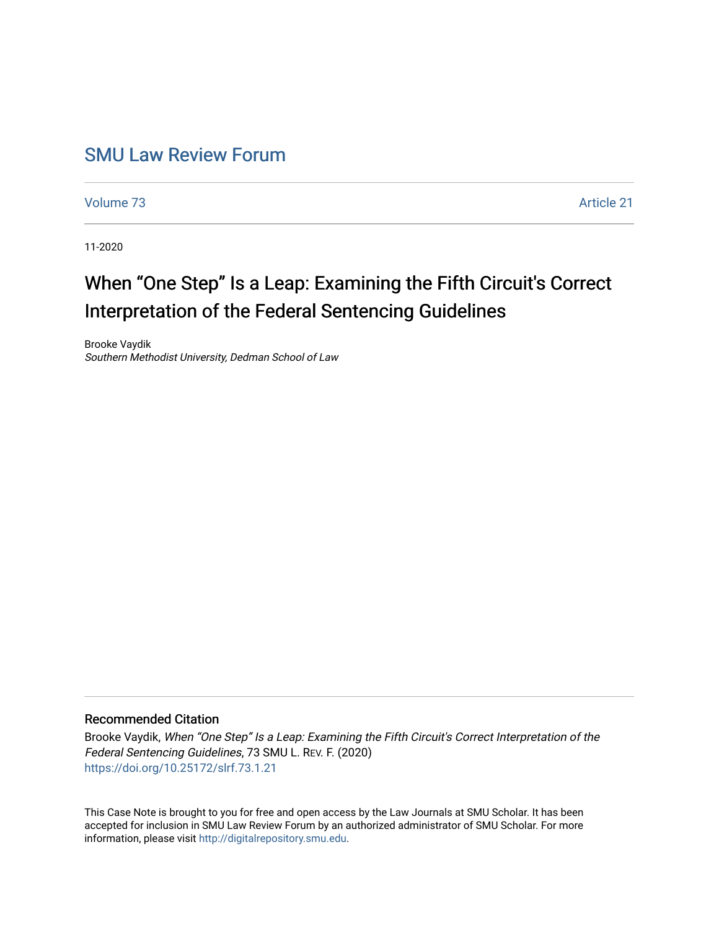## [SMU Law Review Forum](https://scholar.smu.edu/smulrforum)

[Volume 73](https://scholar.smu.edu/smulrforum/vol73) [Article 21](https://scholar.smu.edu/smulrforum/vol73/iss1/21) 

11-2020

## When "One Step" Is a Leap: Examining the Fifth Circuit's Correct Interpretation of the Federal Sentencing Guidelines

Brooke Vaydik Southern Methodist University, Dedman School of Law

### Recommended Citation

Brooke Vaydik, When "One Step" Is a Leap: Examining the Fifth Circuit's Correct Interpretation of the Federal Sentencing Guidelines, 73 SMU L. REV. F. (2020) <https://doi.org/10.25172/slrf.73.1.21>

This Case Note is brought to you for free and open access by the Law Journals at SMU Scholar. It has been accepted for inclusion in SMU Law Review Forum by an authorized administrator of SMU Scholar. For more information, please visit [http://digitalrepository.smu.edu](http://digitalrepository.smu.edu/).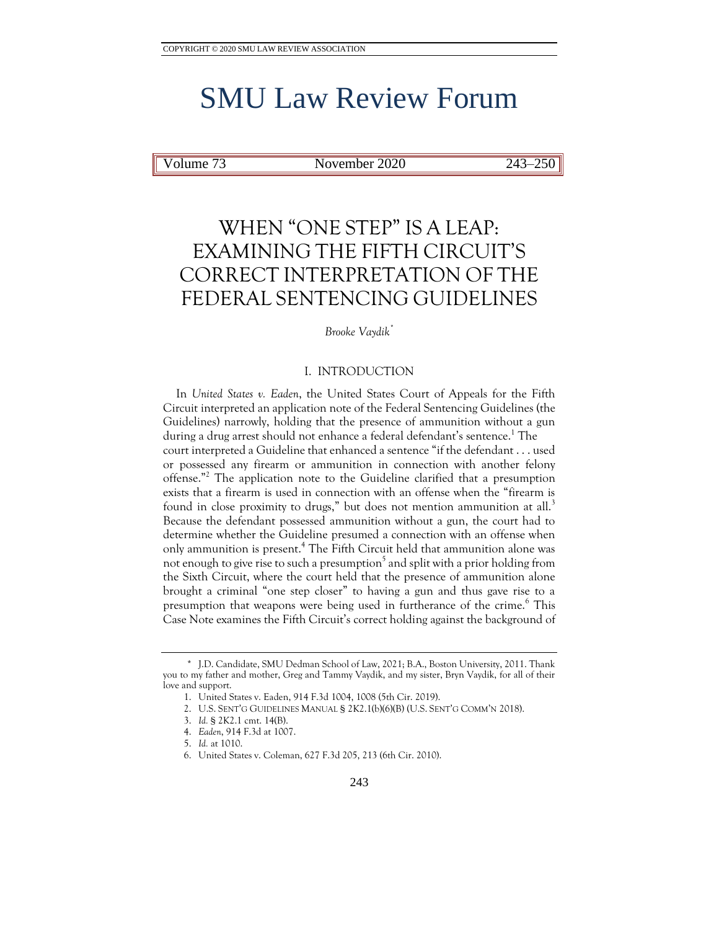# SMU Law Review Forum

Volume 73 November 2020 243–250

## WHEN "ONE STEP" IS A LEAP: EXAMINING THE FIFTH CIRCUIT'S CORRECT INTERPRETATION OF THE FEDERAL SENTENCING GUIDELINES

#### *Brooke Vaydik\**

### I. INTRODUCTION

In *United States v. Eaden*, the United States Court of Appeals for the Fifth Circuit interpreted an application note of the Federal Sentencing Guidelines (the Guidelines) narrowly, holding that the presence of ammunition without a gun during a drug arrest should not enhance a federal defendant's sentence.<sup>1</sup> The court interpreted a Guideline that enhanced a sentence "if the defendant . . . used or possessed any firearm or ammunition in connection with another felony offense."<sup>2</sup> The application note to the Guideline clarified that a presumption exists that a firearm is used in connection with an offense when the "firearm is found in close proximity to drugs," but does not mention ammunition at all.<sup>3</sup> Because the defendant possessed ammunition without a gun, the court had to determine whether the Guideline presumed a connection with an offense when only ammunition is present.<sup>4</sup> The Fifth Circuit held that ammunition alone was not enough to give rise to such a presumption $^5$  and split with a prior holding from the Sixth Circuit, where the court held that the presence of ammunition alone brought a criminal "one step closer" to having a gun and thus gave rise to a presumption that weapons were being used in furtherance of the crime.<sup>6</sup> This Case Note examines the Fifth Circuit's correct holding against the background of

<sup>\*</sup> J.D. Candidate, SMU Dedman School of Law, 2021; B.A., Boston University, 2011. Thank you to my father and mother, Greg and Tammy Vaydik, and my sister, Bryn Vaydik, for all of their love and support.

<sup>1.</sup> United States v. Eaden, 914 F.3d 1004, 1008 (5th Cir. 2019).

<sup>2.</sup> U.S. SENT'G GUIDELINES MANUAL § 2K2.1(b)(6)(B) (U.S. SENT'G COMM'N 2018).

<sup>3.</sup> *Id.* § 2K2.1 cmt. 14(B).

<sup>4.</sup> *Eaden*, 914 F.3d at 1007.

<sup>5.</sup> *Id.* at 1010.

<sup>6.</sup> United States v. Coleman, 627 F.3d 205, 213 (6th Cir. 2010).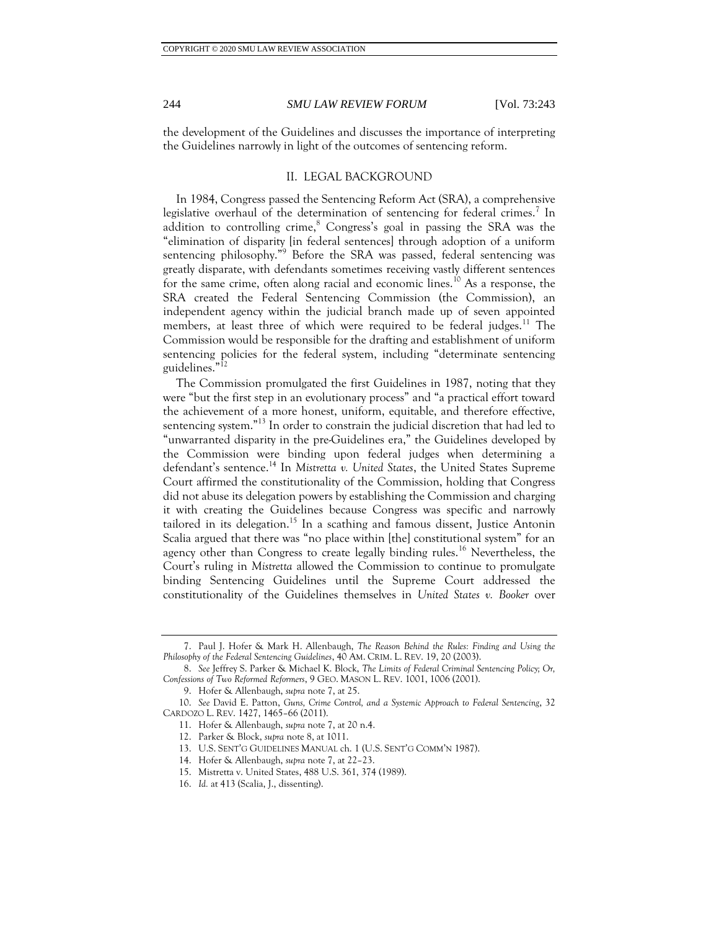the development of the Guidelines and discusses the importance of interpreting the Guidelines narrowly in light of the outcomes of sentencing reform.

#### II. LEGAL BACKGROUND

In 1984, Congress passed the Sentencing Reform Act (SRA), a comprehensive legislative overhaul of the determination of sentencing for federal crimes.<sup>7</sup> In addition to controlling crime,  $\degree$  Congress's goal in passing the SRA was the "elimination of disparity [in federal sentences] through adoption of a uniform sentencing philosophy."<sup>9</sup> Before the SRA was passed, federal sentencing was greatly disparate, with defendants sometimes receiving vastly different sentences for the same crime, often along racial and economic lines.<sup>10</sup> As a response, the SRA created the Federal Sentencing Commission (the Commission), an independent agency within the judicial branch made up of seven appointed members, at least three of which were required to be federal judges.<sup>11</sup> The Commission would be responsible for the drafting and establishment of uniform sentencing policies for the federal system, including "determinate sentencing guidelines."<sup>12</sup>

The Commission promulgated the first Guidelines in 1987, noting that they were "but the first step in an evolutionary process" and "a practical effort toward the achievement of a more honest, uniform, equitable, and therefore effective, sentencing system."<sup>13</sup> In order to constrain the judicial discretion that had led to "unwarranted disparity in the pre-Guidelines era," the Guidelines developed by the Commission were binding upon federal judges when determining a defendant's sentence.<sup>14</sup> In *Mistretta v. United States*, the United States Supreme Court affirmed the constitutionality of the Commission, holding that Congress did not abuse its delegation powers by establishing the Commission and charging it with creating the Guidelines because Congress was specific and narrowly tailored in its delegation.<sup>15</sup> In a scathing and famous dissent, Justice Antonin Scalia argued that there was "no place within [the] constitutional system" for an agency other than Congress to create legally binding rules.<sup>16</sup> Nevertheless, the Court's ruling in *Mistretta* allowed the Commission to continue to promulgate binding Sentencing Guidelines until the Supreme Court addressed the constitutionality of the Guidelines themselves in *United States v. Booker* over

13. U.S. SENT'G GUIDELINES MANUAL ch. 1 (U.S. SENT'G COMM'N 1987).

15. Mistretta v. United States, 488 U.S. 361, 374 (1989).

<sup>7.</sup> Paul J. Hofer & Mark H. Allenbaugh, *The Reason Behind the Rules: Finding and Using the Philosophy of the Federal Sentencing Guidelines*, 40 AM. CRIM. L. REV. 19, 20 (2003).

<sup>8.</sup> *See* Jeffrey S. Parker & Michael K. Block, *The Limits of Federal Criminal Sentencing Policy; Or, Confessions of Two Reformed Reformers*, 9 GEO. MASON L. REV. 1001, 1006 (2001).

<sup>9.</sup> Hofer & Allenbaugh, *supra* note 7, at 25.

<sup>10.</sup> *See* David E. Patton, *Guns, Crime Control, and a Systemic Approach to Federal Sentencing*, 32 CARDOZO L. REV. 1427, 1465–66 (2011).

<sup>11.</sup> Hofer & Allenbaugh, *supra* note 7, at 20 n.4.

<sup>12.</sup> Parker & Block, *supra* note 8, at 1011.

<sup>14.</sup> Hofer & Allenbaugh, *supra* note 7, at 22–23.

<sup>16.</sup> *Id.* at 413 (Scalia, J., dissenting).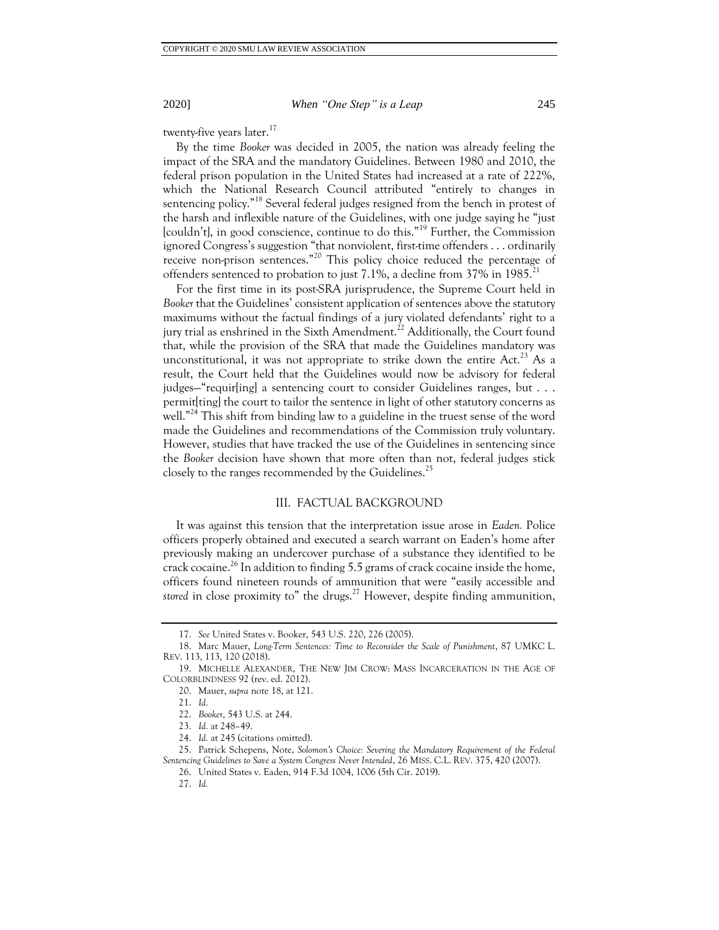#### 2020] *When "One Step" is a Leap* 245

twenty-five years later.<sup>17</sup>

By the time *Booker* was decided in 2005, the nation was already feeling the impact of the SRA and the mandatory Guidelines. Between 1980 and 2010, the federal prison population in the United States had increased at a rate of 222%, which the National Research Council attributed "entirely to changes in sentencing policy."<sup>18</sup> Several federal judges resigned from the bench in protest of the harsh and inflexible nature of the Guidelines, with one judge saying he "just [couldn't], in good conscience, continue to do this."<sup>19</sup> Further, the Commission ignored Congress's suggestion "that nonviolent, first-time offenders . . . ordinarily receive non-prison sentences."<sup>20</sup> This policy choice reduced the percentage of offenders sentenced to probation to just 7.1%, a decline from 37% in 1985.<sup>2</sup>

For the first time in its post-SRA jurisprudence, the Supreme Court held in *Booker* that the Guidelines' consistent application of sentences above the statutory maximums without the factual findings of a jury violated defendants' right to a jury trial as enshrined in the Sixth Amendment.<sup>22</sup> Additionally, the Court found that, while the provision of the SRA that made the Guidelines mandatory was unconstitutional, it was not appropriate to strike down the entire Act.<sup>23</sup> As a result, the Court held that the Guidelines would now be advisory for federal judges—"requir[ing] a sentencing court to consider Guidelines ranges, but . . . permit[ting] the court to tailor the sentence in light of other statutory concerns as well."<sup>24</sup> This shift from binding law to a guideline in the truest sense of the word made the Guidelines and recommendations of the Commission truly voluntary. However, studies that have tracked the use of the Guidelines in sentencing since the *Booker* decision have shown that more often than not, federal judges stick closely to the ranges recommended by the Guidelines.<sup>25</sup>

#### III. FACTUAL BACKGROUND

It was against this tension that the interpretation issue arose in *Eaden.* Police officers properly obtained and executed a search warrant on Eaden's home after previously making an undercover purchase of a substance they identified to be crack cocaine.<sup>26</sup> In addition to finding 5.5 grams of crack cocaine inside the home, officers found nineteen rounds of ammunition that were "easily accessible and *stored* in close proximity to" the drugs.<sup>27</sup> However, despite finding ammunition,

<sup>17.</sup> *See* United States v. Booker, 543 U.S. 220, 226 (2005).

<sup>18.</sup> Marc Mauer, *Long-Term Sentences: Time to Reconsider the Scale of Punishment*, 87 UMKC L. REV. 113, 113, 120 (2018).

<sup>19.</sup> MICHELLE ALEXANDER, THE NEW JIM CROW: MASS INCARCERATION IN THE AGE OF COLORBLINDNESS 92 (rev. ed. 2012).

<sup>20.</sup> Mauer, *supra* note 18, at 121.

<sup>21.</sup> *Id.*

<sup>22.</sup> *Booker*, 543 U.S. at 244.

<sup>23.</sup> *Id.* at 248–49.

<sup>24.</sup> *Id.* at 245 (citations omitted).

<sup>25.</sup> Patrick Schepens, Note, *Solomon's Choice: Severing the Mandatory Requirement of the Federal Sentencing Guidelines to Save a System Congress Never Intended*, 26 MISS. C.L. REV. 375, 420 (2007).

<sup>26.</sup> United States v. Eaden, 914 F.3d 1004, 1006 (5th Cir. 2019).

<sup>27.</sup> *Id.*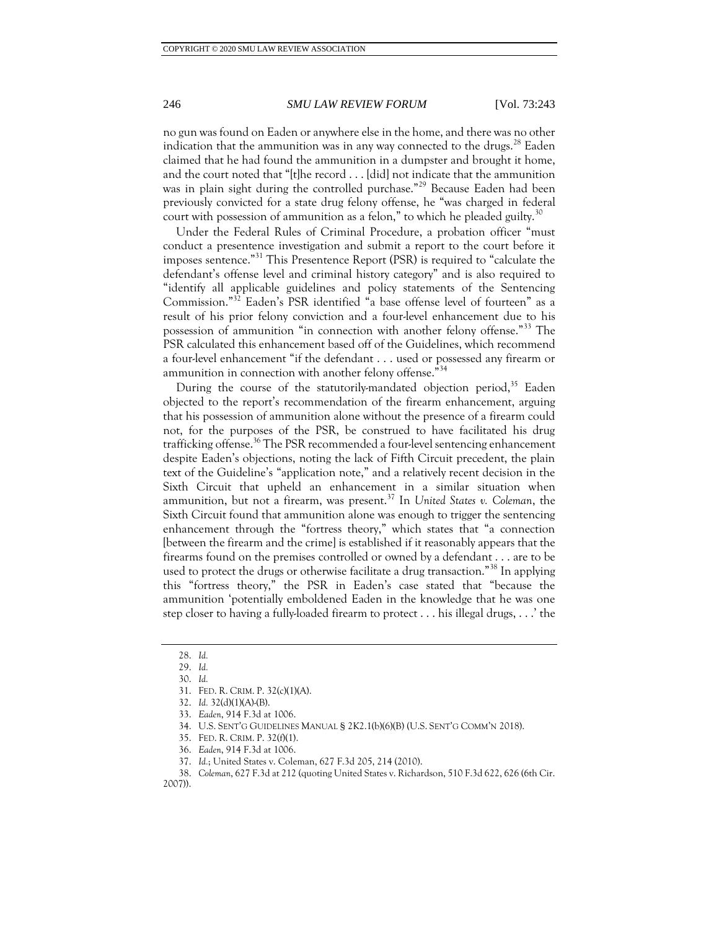#### 246 *SMU LAW REVIEW FORUM* [Vol. 73:243

no gun was found on Eaden or anywhere else in the home, and there was no other indication that the ammunition was in any way connected to the drugs.<sup>28</sup> Eaden claimed that he had found the ammunition in a dumpster and brought it home, and the court noted that "[t]he record . . . [did] not indicate that the ammunition was in plain sight during the controlled purchase."<sup>29</sup> Because Eaden had been previously convicted for a state drug felony offense, he "was charged in federal court with possession of ammunition as a felon," to which he pleaded guilty.<sup>30</sup>

Under the Federal Rules of Criminal Procedure, a probation officer "must conduct a presentence investigation and submit a report to the court before it imposes sentence."<sup>31</sup> This Presentence Report (PSR) is required to "calculate the defendant's offense level and criminal history category" and is also required to "identify all applicable guidelines and policy statements of the Sentencing Commission."<sup>32</sup> Eaden's PSR identified "a base offense level of fourteen" as a result of his prior felony conviction and a four-level enhancement due to his possession of ammunition "in connection with another felony offense."<sup>33</sup> The PSR calculated this enhancement based off of the Guidelines, which recommend a four-level enhancement "if the defendant . . . used or possessed any firearm or ammunition in connection with another felony offense."<sup>34</sup>

During the course of the statutorily-mandated objection period,<sup>35</sup> Eaden objected to the report's recommendation of the firearm enhancement, arguing that his possession of ammunition alone without the presence of a firearm could not, for the purposes of the PSR, be construed to have facilitated his drug trafficking offense.<sup>36</sup> The PSR recommended a four-level sentencing enhancement despite Eaden's objections, noting the lack of Fifth Circuit precedent, the plain text of the Guideline's "application note," and a relatively recent decision in the Sixth Circuit that upheld an enhancement in a similar situation when ammunition, but not a firearm, was present.<sup>37</sup> In *United States v. Coleman*, the Sixth Circuit found that ammunition alone was enough to trigger the sentencing enhancement through the "fortress theory," which states that "a connection [between the firearm and the crime] is established if it reasonably appears that the firearms found on the premises controlled or owned by a defendant . . . are to be used to protect the drugs or otherwise facilitate a drug transaction."<sup>38</sup> In applying this "fortress theory," the PSR in Eaden's case stated that "because the ammunition 'potentially emboldened Eaden in the knowledge that he was one step closer to having a fully-loaded firearm to protect . . . his illegal drugs, . . .' the

37. *Id.*; United States v. Coleman, 627 F.3d 205, 214 (2010).

<sup>28.</sup> *Id.*

<sup>29.</sup> *Id.*

<sup>30.</sup> *Id.*

<sup>31.</sup> FED. R. CRIM. P. 32(c)(1)(A).

<sup>32.</sup> *Id.* 32(d)(1)(A)-(B).

<sup>33.</sup> *Eaden*, 914 F.3d at 1006.

<sup>34.</sup> U.S. SENT'G GUIDELINES MANUAL § 2K2.1(b)(6)(B) (U.S. SENT'G COMM'N 2018).

<sup>35.</sup> FED. R. CRIM. P. 32(f)(1).

<sup>36.</sup> *Eaden*, 914 F.3d at 1006.

<sup>38.</sup> *Coleman*, 627 F.3d at 212 (quoting United States v. Richardson, 510 F.3d 622, 626 (6th Cir. 2007)).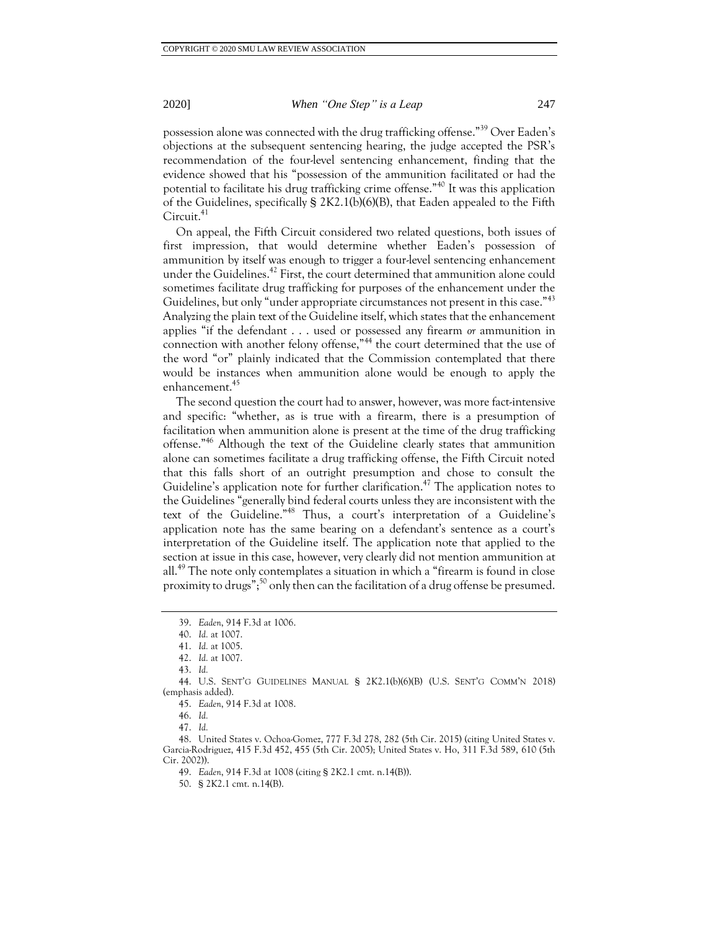#### 2020] *When "One Step" is a Leap* 247

possession alone was connected with the drug trafficking offense."<sup>39</sup> Over Eaden's objections at the subsequent sentencing hearing, the judge accepted the PSR's recommendation of the four-level sentencing enhancement, finding that the evidence showed that his "possession of the ammunition facilitated or had the potential to facilitate his drug trafficking crime offense."<sup>40</sup> It was this application of the Guidelines, specifically § 2K2.1(b)(6)(B), that Eaden appealed to the Fifth Circuit.<sup>41</sup>

On appeal, the Fifth Circuit considered two related questions, both issues of first impression, that would determine whether Eaden's possession of ammunition by itself was enough to trigger a four-level sentencing enhancement under the Guidelines. <sup>42</sup> First, the court determined that ammunition alone could sometimes facilitate drug trafficking for purposes of the enhancement under the Guidelines, but only "under appropriate circumstances not present in this case."<sup>43</sup> Analyzing the plain text of the Guideline itself, which states that the enhancement applies "if the defendant . . . used or possessed any firearm *or* ammunition in connection with another felony offense,"<sup>44</sup> the court determined that the use of the word "or" plainly indicated that the Commission contemplated that there would be instances when ammunition alone would be enough to apply the enhancement.<sup>45</sup>

The second question the court had to answer, however, was more fact-intensive and specific: "whether, as is true with a firearm, there is a presumption of facilitation when ammunition alone is present at the time of the drug trafficking offense."<sup>46</sup> Although the text of the Guideline clearly states that ammunition alone can sometimes facilitate a drug trafficking offense, the Fifth Circuit noted that this falls short of an outright presumption and chose to consult the Guideline's application note for further clarification.<sup>47</sup> The application notes to the Guidelines "generally bind federal courts unless they are inconsistent with the text of the Guideline."<sup>48</sup> Thus, a court's interpretation of a Guideline's application note has the same bearing on a defendant's sentence as a court's interpretation of the Guideline itself. The application note that applied to the section at issue in this case, however, very clearly did not mention ammunition at all.<sup>49</sup> The note only contemplates a situation in which a "firearm is found in close proximity to drugs";<sup>50</sup> only then can the facilitation of a drug offense be presumed.

<sup>39.</sup> *Eaden*, 914 F.3d at 1006.

<sup>40.</sup> *Id.* at 1007.

<sup>41.</sup> *Id.* at 1005.

<sup>42.</sup> *Id.* at 1007.

<sup>43.</sup> *Id.*

<sup>44.</sup> U.S. SENT'G GUIDELINES MANUAL § 2K2.1(b)(6)(B) (U.S. SENT'G COMM'N 2018) (emphasis added).

<sup>45.</sup> *Eaden*, 914 F.3d at 1008.

<sup>46.</sup> *Id.*

<sup>47.</sup> *Id.*

<sup>48.</sup> United States v. Ochoa-Gomez, 777 F.3d 278, 282 (5th Cir. 2015) (citing United States v. Garcia-Rodriguez, 415 F.3d 452, 455 (5th Cir. 2005); United States v. Ho, 311 F.3d 589, 610 (5th Cir. 2002)).

<sup>49.</sup> *Eaden*, 914 F.3d at 1008 (citing § 2K2.1 cmt. n.14(B)).

<sup>50.</sup> § 2K2.1 cmt. n.14(B).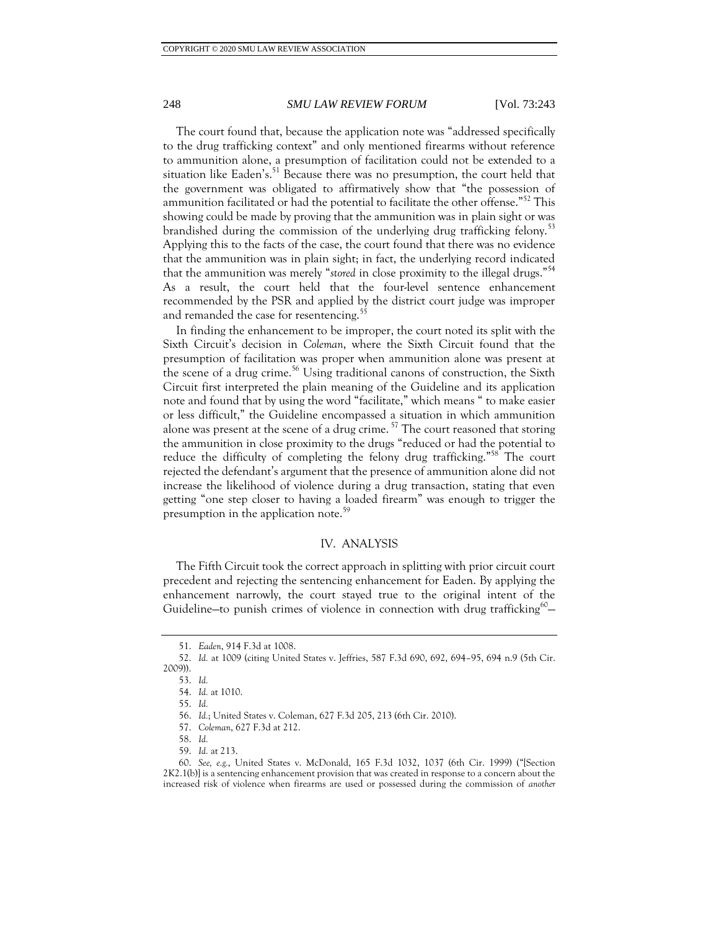#### 248 *SMU LAW REVIEW FORUM* [Vol. 73:243

The court found that, because the application note was "addressed specifically to the drug trafficking context" and only mentioned firearms without reference to ammunition alone, a presumption of facilitation could not be extended to a situation like Eaden's.<sup>51</sup> Because there was no presumption, the court held that the government was obligated to affirmatively show that "the possession of ammunition facilitated or had the potential to facilitate the other offense."<sup>52</sup> This showing could be made by proving that the ammunition was in plain sight or was brandished during the commission of the underlying drug trafficking felony.<sup>53</sup> Applying this to the facts of the case, the court found that there was no evidence that the ammunition was in plain sight; in fact, the underlying record indicated that the ammunition was merely "*stored* in close proximity to the illegal drugs."<sup>54</sup> As a result, the court held that the four-level sentence enhancement recommended by the PSR and applied by the district court judge was improper and remanded the case for resentencing.<sup>55</sup>

In finding the enhancement to be improper, the court noted its split with the Sixth Circuit's decision in *Coleman*, where the Sixth Circuit found that the presumption of facilitation was proper when ammunition alone was present at the scene of a drug crime.<sup>56</sup> Using traditional canons of construction, the Sixth Circuit first interpreted the plain meaning of the Guideline and its application note and found that by using the word "facilitate," which means " to make easier or less difficult," the Guideline encompassed a situation in which ammunition alone was present at the scene of a drug crime.<sup>57</sup> The court reasoned that storing the ammunition in close proximity to the drugs "reduced or had the potential to reduce the difficulty of completing the felony drug trafficking."<sup>58</sup> The court rejected the defendant's argument that the presence of ammunition alone did not increase the likelihood of violence during a drug transaction, stating that even getting "one step closer to having a loaded firearm" was enough to trigger the presumption in the application note.<sup>59</sup>

#### IV. ANALYSIS

The Fifth Circuit took the correct approach in splitting with prior circuit court precedent and rejecting the sentencing enhancement for Eaden. By applying the enhancement narrowly, the court stayed true to the original intent of the Guideline–to punish crimes of violence in connection with drug trafficking $60-$ 

<sup>51.</sup> *Eaden*, 914 F.3d at 1008.

<sup>52.</sup> *Id.* at 1009 (citing United States v. Jeffries, 587 F.3d 690, 692, 694–95, 694 n.9 (5th Cir. 2009)).

<sup>53.</sup> *Id.*

<sup>54.</sup> *Id.* at 1010.

<sup>55.</sup> *Id.*

<sup>56.</sup> *Id.*; United States v. Coleman, 627 F.3d 205, 213 (6th Cir. 2010).

<sup>57.</sup> *Coleman*, 627 F.3d at 212.

<sup>58.</sup> *Id.*

<sup>59.</sup> *Id.* at 213.

<sup>60.</sup> *See, e.g.*, United States v. McDonald, 165 F.3d 1032, 1037 (6th Cir. 1999) ("[Section 2K2.1(b)] is a sentencing enhancement provision that was created in response to a concern about the increased risk of violence when firearms are used or possessed during the commission of *another*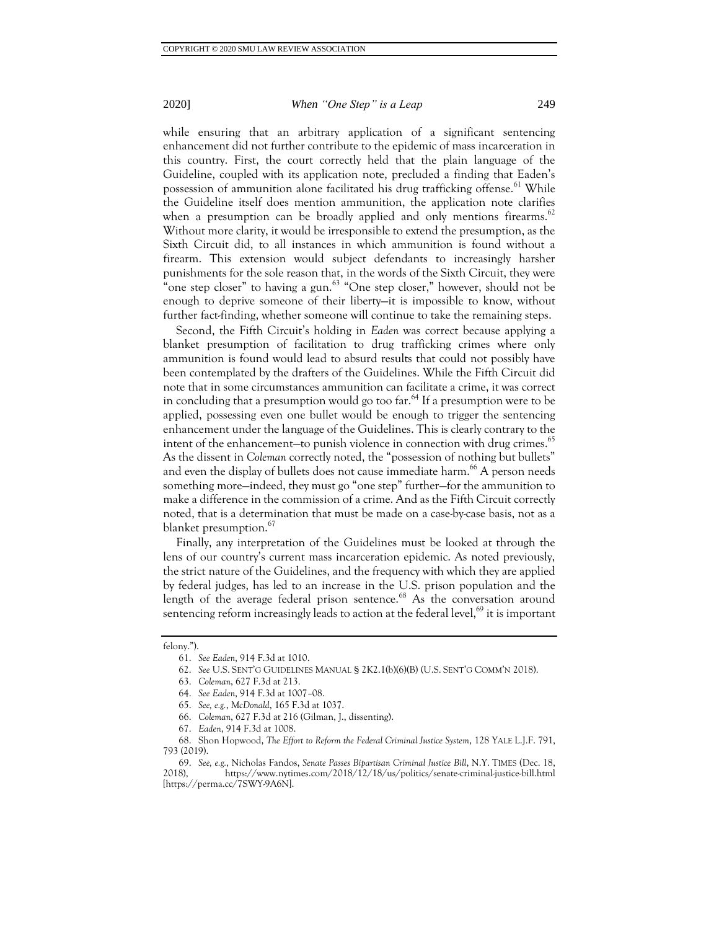#### 2020] *When "One Step" is a Leap* 249

while ensuring that an arbitrary application of a significant sentencing enhancement did not further contribute to the epidemic of mass incarceration in this country. First, the court correctly held that the plain language of the Guideline, coupled with its application note, precluded a finding that Eaden's possession of ammunition alone facilitated his drug trafficking offense.<sup>61</sup> While the Guideline itself does mention ammunition, the application note clarifies when a presumption can be broadly applied and only mentions firearms.<sup>62</sup> Without more clarity, it would be irresponsible to extend the presumption, as the Sixth Circuit did, to all instances in which ammunition is found without a firearm. This extension would subject defendants to increasingly harsher punishments for the sole reason that, in the words of the Sixth Circuit, they were "one step closer" to having a gun. $63$  "One step closer," however, should not be enough to deprive someone of their liberty—it is impossible to know, without

Second, the Fifth Circuit's holding in *Eaden* was correct because applying a blanket presumption of facilitation to drug trafficking crimes where only ammunition is found would lead to absurd results that could not possibly have been contemplated by the drafters of the Guidelines. While the Fifth Circuit did note that in some circumstances ammunition can facilitate a crime, it was correct in concluding that a presumption would go too far.<sup>64</sup> If a presumption were to be applied, possessing even one bullet would be enough to trigger the sentencing enhancement under the language of the Guidelines. This is clearly contrary to the intent of the enhancement—to punish violence in connection with drug crimes.<sup>65</sup> As the dissent in *Coleman* correctly noted, the "possession of nothing but bullets" and even the display of bullets does not cause immediate harm.<sup>66</sup> A person needs something more—indeed, they must go "one step" further—for the ammunition to make a difference in the commission of a crime. And as the Fifth Circuit correctly noted, that is a determination that must be made on a case-by-case basis, not as a blanket presumption.<sup>67</sup>

further fact-finding, whether someone will continue to take the remaining steps.

Finally, any interpretation of the Guidelines must be looked at through the lens of our country's current mass incarceration epidemic. As noted previously, the strict nature of the Guidelines, and the frequency with which they are applied by federal judges, has led to an increase in the U.S. prison population and the length of the average federal prison sentence.<sup>68</sup> As the conversation around sentencing reform increasingly leads to action at the federal level, $^{69}$  it is important

felony.").

<sup>61.</sup> *See Eaden*, 914 F.3d at 1010.

<sup>62.</sup> *See* U.S. SENT'G GUIDELINES MANUAL § 2K2.1(b)(6)(B) (U.S. SENT'G COMM'N 2018).

<sup>63.</sup> *Coleman*, 627 F.3d at 213.

<sup>64.</sup> *See Eaden*, 914 F.3d at 1007–08.

<sup>65.</sup> *See, e.g.*, *McDonald*, 165 F.3d at 1037.

<sup>66.</sup> *Coleman*, 627 F.3d at 216 (Gilman, J., dissenting).

<sup>67.</sup> *Eaden*, 914 F.3d at 1008.

<sup>68.</sup> Shon Hopwood, *The Effort to Reform the Federal Criminal Justice System*, 128 YALE L.J.F. 791, 793 (2019).

<sup>69.</sup> *See, e.g.*, Nicholas Fandos, *Senate Passes Bipartisan Criminal Justice Bill*, N.Y. TIMES (Dec. 18, 2018), https://www.nytimes.com/2018/12/18/us/politics/senate-criminal-justice-bill.html [https://perma.cc/7SWY-9A6N].